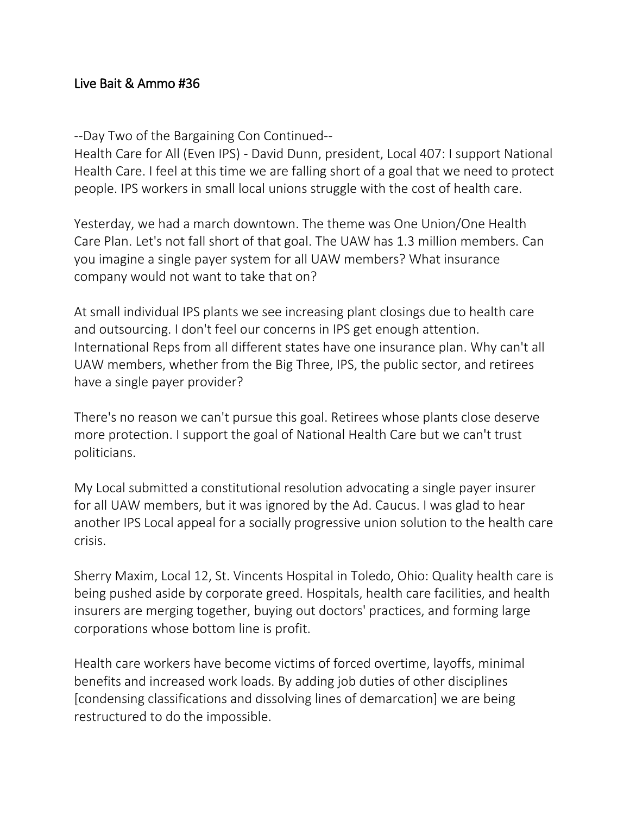## Live Bait & Ammo #36

--Day Two of the Bargaining Con Continued--

Health Care for All (Even IPS) - David Dunn, president, Local 407: I support National Health Care. I feel at this time we are falling short of a goal that we need to protect people. IPS workers in small local unions struggle with the cost of health care.

Yesterday, we had a march downtown. The theme was One Union/One Health Care Plan. Let's not fall short of that goal. The UAW has 1.3 million members. Can you imagine a single payer system for all UAW members? What insurance company would not want to take that on?

At small individual IPS plants we see increasing plant closings due to health care and outsourcing. I don't feel our concerns in IPS get enough attention. International Reps from all different states have one insurance plan. Why can't all UAW members, whether from the Big Three, IPS, the public sector, and retirees have a single payer provider?

There's no reason we can't pursue this goal. Retirees whose plants close deserve more protection. I support the goal of National Health Care but we can't trust politicians.

My Local submitted a constitutional resolution advocating a single payer insurer for all UAW members, but it was ignored by the Ad. Caucus. I was glad to hear another IPS Local appeal for a socially progressive union solution to the health care crisis.

Sherry Maxim, Local 12, St. Vincents Hospital in Toledo, Ohio: Quality health care is being pushed aside by corporate greed. Hospitals, health care facilities, and health insurers are merging together, buying out doctors' practices, and forming large corporations whose bottom line is profit.

Health care workers have become victims of forced overtime, layoffs, minimal benefits and increased work loads. By adding job duties of other disciplines [condensing classifications and dissolving lines of demarcation] we are being restructured to do the impossible.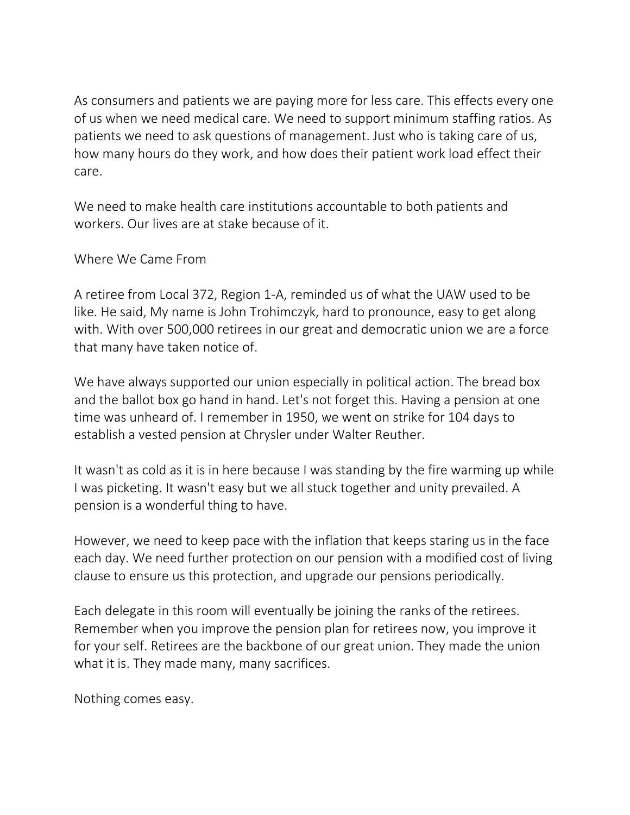As consumers and patients we are paying more for less care. This effects every one of us when we need medical care. We need to support minimum staffing ratios. As patients we need to ask questions of management. Just who is taking care of us, how many hours do they work, and how does their patient work load effect their care.

We need to make health care institutions accountable to both patients and workers. Our lives are at stake because of it.

Where We Came From

A retiree from Local 372, Region 1-A, reminded us of what the UAW used to be like. He said, My name is John Trohimczyk, hard to pronounce, easy to get along with. With over 500,000 retirees in our great and democratic union we are a force that many have taken notice of.

We have always supported our union especially in political action. The bread box and the ballot box go hand in hand. Let's not forget this. Having a pension at one time was unheard of. I remember in 1950, we went on strike for 104 days to establish a vested pension at Chrysler under Walter Reuther.

It wasn't as cold as it is in here because I was standing by the fire warming up while I was picketing. It wasn't easy but we all stuck together and unity prevailed. A pension is a wonderful thing to have.

However, we need to keep pace with the inflation that keeps staring us in the face each day. We need further protection on our pension with a modified cost of living clause to ensure us this protection, and upgrade our pensions periodically.

Each delegate in this room will eventually be joining the ranks of the retirees. Remember when you improve the pension plan for retirees now, you improve it for your self. Retirees are the backbone of our great union. They made the union what it is. They made many, many sacrifices.

Nothing comes easy.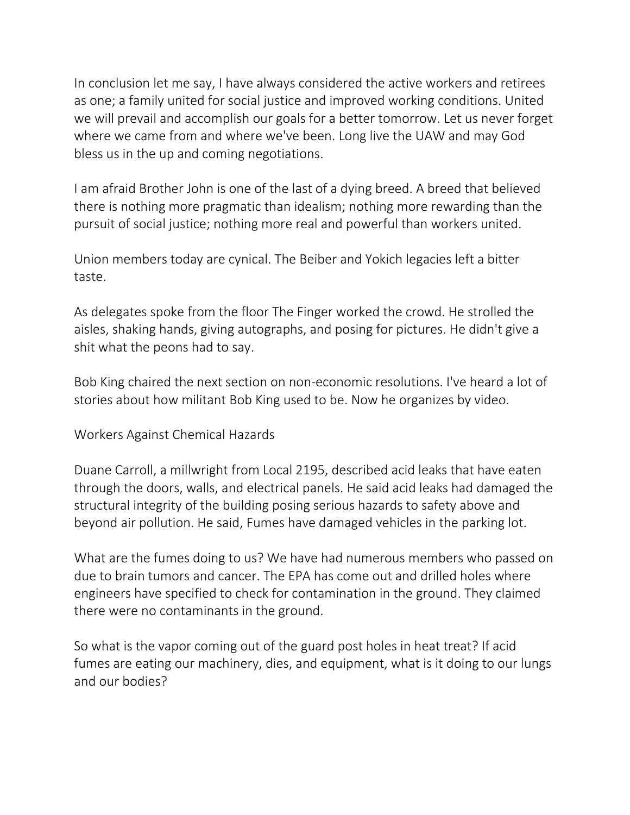In conclusion let me say, I have always considered the active workers and retirees as one; a family united for social justice and improved working conditions. United we will prevail and accomplish our goals for a better tomorrow. Let us never forget where we came from and where we've been. Long live the UAW and may God bless us in the up and coming negotiations.

I am afraid Brother John is one of the last of a dying breed. A breed that believed there is nothing more pragmatic than idealism; nothing more rewarding than the pursuit of social justice; nothing more real and powerful than workers united.

Union members today are cynical. The Beiber and Yokich legacies left a bitter taste.

As delegates spoke from the floor The Finger worked the crowd. He strolled the aisles, shaking hands, giving autographs, and posing for pictures. He didn't give a shit what the peons had to say.

Bob King chaired the next section on non-economic resolutions. I've heard a lot of stories about how militant Bob King used to be. Now he organizes by video.

Workers Against Chemical Hazards

Duane Carroll, a millwright from Local 2195, described acid leaks that have eaten through the doors, walls, and electrical panels. He said acid leaks had damaged the structural integrity of the building posing serious hazards to safety above and beyond air pollution. He said, Fumes have damaged vehicles in the parking lot.

What are the fumes doing to us? We have had numerous members who passed on due to brain tumors and cancer. The EPA has come out and drilled holes where engineers have specified to check for contamination in the ground. They claimed there were no contaminants in the ground.

So what is the vapor coming out of the guard post holes in heat treat? If acid fumes are eating our machinery, dies, and equipment, what is it doing to our lungs and our bodies?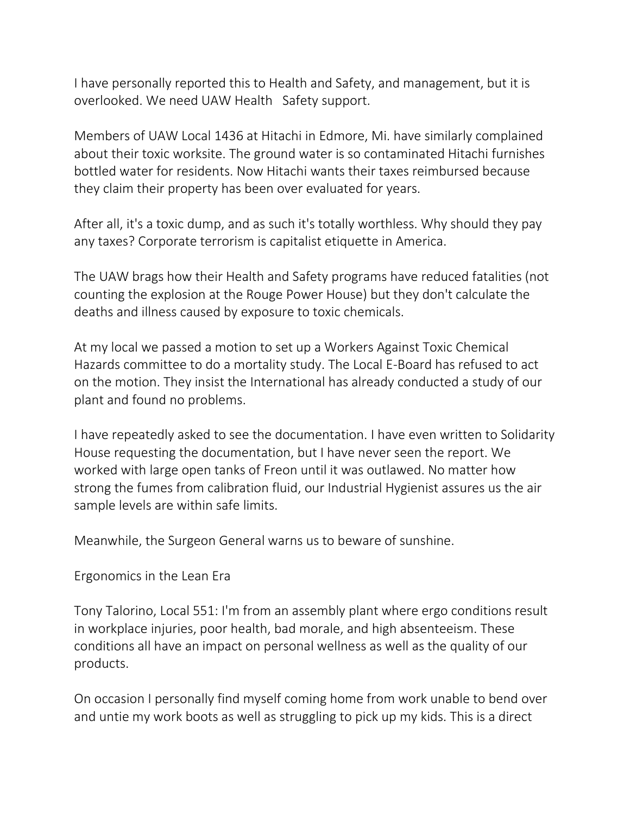I have personally reported this to Health and Safety, and management, but it is overlooked. We need UAW Health Safety support.

Members of UAW Local 1436 at Hitachi in Edmore, Mi. have similarly complained about their toxic worksite. The ground water is so contaminated Hitachi furnishes bottled water for residents. Now Hitachi wants their taxes reimbursed because they claim their property has been over evaluated for years.

After all, it's a toxic dump, and as such it's totally worthless. Why should they pay any taxes? Corporate terrorism is capitalist etiquette in America.

The UAW brags how their Health and Safety programs have reduced fatalities (not counting the explosion at the Rouge Power House) but they don't calculate the deaths and illness caused by exposure to toxic chemicals.

At my local we passed a motion to set up a Workers Against Toxic Chemical Hazards committee to do a mortality study. The Local E-Board has refused to act on the motion. They insist the International has already conducted a study of our plant and found no problems.

I have repeatedly asked to see the documentation. I have even written to Solidarity House requesting the documentation, but I have never seen the report. We worked with large open tanks of Freon until it was outlawed. No matter how strong the fumes from calibration fluid, our Industrial Hygienist assures us the air sample levels are within safe limits.

Meanwhile, the Surgeon General warns us to beware of sunshine.

Ergonomics in the Lean Era

Tony Talorino, Local 551: I'm from an assembly plant where ergo conditions result in workplace injuries, poor health, bad morale, and high absenteeism. These conditions all have an impact on personal wellness as well as the quality of our products.

On occasion I personally find myself coming home from work unable to bend over and untie my work boots as well as struggling to pick up my kids. This is a direct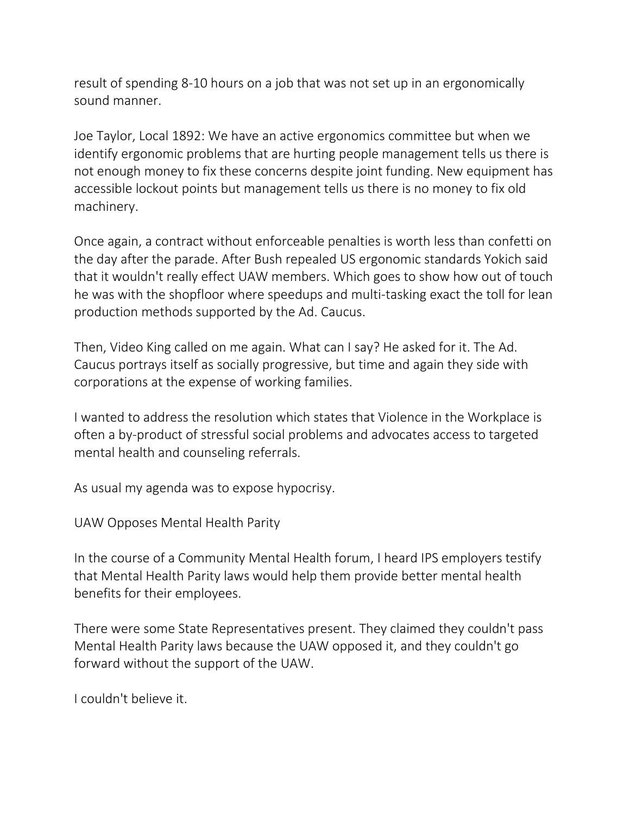result of spending 8-10 hours on a job that was not set up in an ergonomically sound manner.

Joe Taylor, Local 1892: We have an active ergonomics committee but when we identify ergonomic problems that are hurting people management tells us there is not enough money to fix these concerns despite joint funding. New equipment has accessible lockout points but management tells us there is no money to fix old machinery.

Once again, a contract without enforceable penalties is worth less than confetti on the day after the parade. After Bush repealed US ergonomic standards Yokich said that it wouldn't really effect UAW members. Which goes to show how out of touch he was with the shopfloor where speedups and multi-tasking exact the toll for lean production methods supported by the Ad. Caucus.

Then, Video King called on me again. What can I say? He asked for it. The Ad. Caucus portrays itself as socially progressive, but time and again they side with corporations at the expense of working families.

I wanted to address the resolution which states that Violence in the Workplace is often a by-product of stressful social problems and advocates access to targeted mental health and counseling referrals.

As usual my agenda was to expose hypocrisy.

UAW Opposes Mental Health Parity

In the course of a Community Mental Health forum, I heard IPS employers testify that Mental Health Parity laws would help them provide better mental health benefits for their employees.

There were some State Representatives present. They claimed they couldn't pass Mental Health Parity laws because the UAW opposed it, and they couldn't go forward without the support of the UAW.

I couldn't believe it.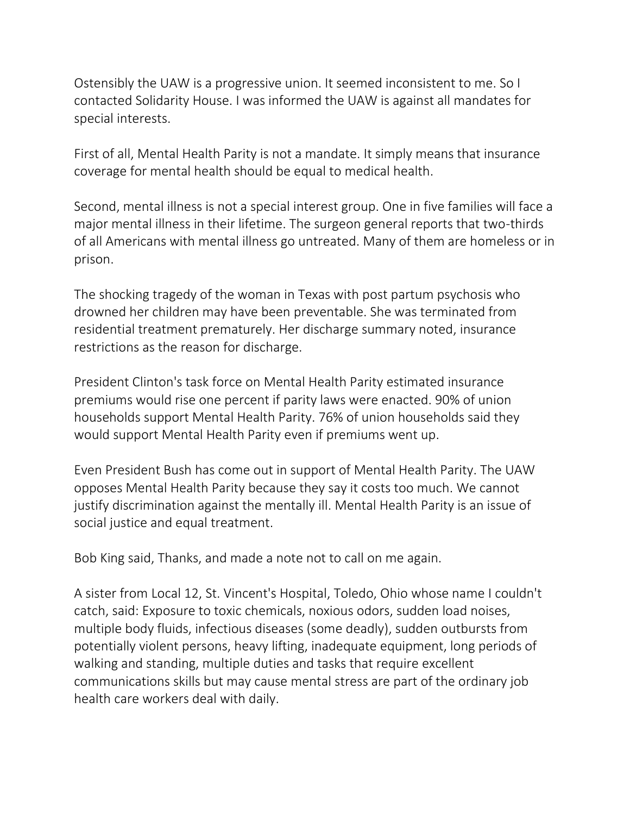Ostensibly the UAW is a progressive union. It seemed inconsistent to me. So I contacted Solidarity House. I was informed the UAW is against all mandates for special interests.

First of all, Mental Health Parity is not a mandate. It simply means that insurance coverage for mental health should be equal to medical health.

Second, mental illness is not a special interest group. One in five families will face a major mental illness in their lifetime. The surgeon general reports that two-thirds of all Americans with mental illness go untreated. Many of them are homeless or in prison.

The shocking tragedy of the woman in Texas with post partum psychosis who drowned her children may have been preventable. She was terminated from residential treatment prematurely. Her discharge summary noted, insurance restrictions as the reason for discharge.

President Clinton's task force on Mental Health Parity estimated insurance premiums would rise one percent if parity laws were enacted. 90% of union households support Mental Health Parity. 76% of union households said they would support Mental Health Parity even if premiums went up.

Even President Bush has come out in support of Mental Health Parity. The UAW opposes Mental Health Parity because they say it costs too much. We cannot justify discrimination against the mentally ill. Mental Health Parity is an issue of social justice and equal treatment.

Bob King said, Thanks, and made a note not to call on me again.

A sister from Local 12, St. Vincent's Hospital, Toledo, Ohio whose name I couldn't catch, said: Exposure to toxic chemicals, noxious odors, sudden load noises, multiple body fluids, infectious diseases (some deadly), sudden outbursts from potentially violent persons, heavy lifting, inadequate equipment, long periods of walking and standing, multiple duties and tasks that require excellent communications skills but may cause mental stress are part of the ordinary job health care workers deal with daily.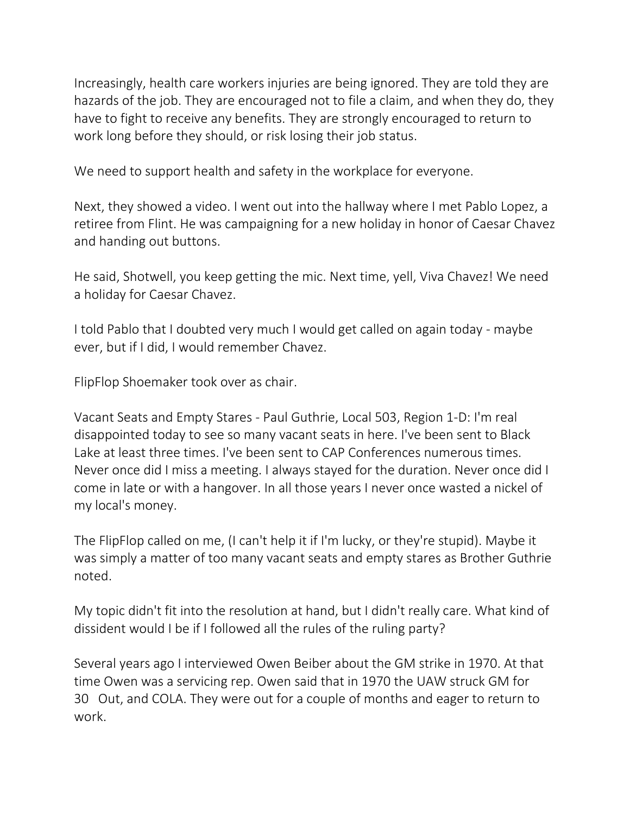Increasingly, health care workers injuries are being ignored. They are told they are hazards of the job. They are encouraged not to file a claim, and when they do, they have to fight to receive any benefits. They are strongly encouraged to return to work long before they should, or risk losing their job status.

We need to support health and safety in the workplace for everyone.

Next, they showed a video. I went out into the hallway where I met Pablo Lopez, a retiree from Flint. He was campaigning for a new holiday in honor of Caesar Chavez and handing out buttons.

He said, Shotwell, you keep getting the mic. Next time, yell, Viva Chavez! We need a holiday for Caesar Chavez.

I told Pablo that I doubted very much I would get called on again today - maybe ever, but if I did, I would remember Chavez.

FlipFlop Shoemaker took over as chair.

Vacant Seats and Empty Stares - Paul Guthrie, Local 503, Region 1-D: I'm real disappointed today to see so many vacant seats in here. I've been sent to Black Lake at least three times. I've been sent to CAP Conferences numerous times. Never once did I miss a meeting. I always stayed for the duration. Never once did I come in late or with a hangover. In all those years I never once wasted a nickel of my local's money.

The FlipFlop called on me, (I can't help it if I'm lucky, or they're stupid). Maybe it was simply a matter of too many vacant seats and empty stares as Brother Guthrie noted.

My topic didn't fit into the resolution at hand, but I didn't really care. What kind of dissident would I be if I followed all the rules of the ruling party?

Several years ago I interviewed Owen Beiber about the GM strike in 1970. At that time Owen was a servicing rep. Owen said that in 1970 the UAW struck GM for 30 Out, and COLA. They were out for a couple of months and eager to return to work.